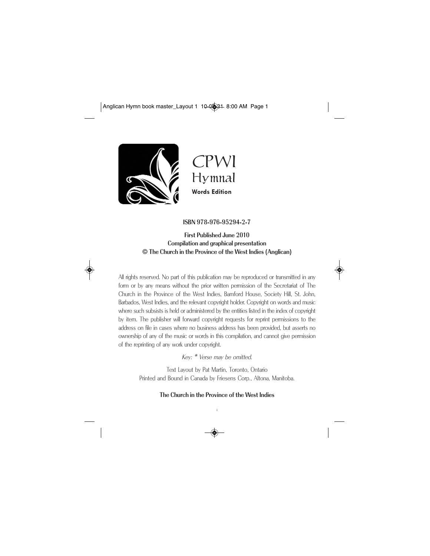

CPWI Hymnal **Words Edition**

#### ISBN 978-976-95294-2-7

First Published June 2010 Compilation and graphical presentation © The Church in the Province of the West Indies (Anglican)



All rights reserved. No part of this publication may be reproduced or transmitted in any form or by any means without the prior written permission of the Secretariat of The Church in the Province of the West Indies, Bamford House, Society Hill, St. John, Barbados, West Indies, and the relevant copyright holder. Copyright on words and music where such subsists is held or administered by the entities listed in the index of copyright by item. The publisher will forward copyright requests for reprint permissions to the address on file in cases where no business address has been provided, but asserts no ownership of any of the music or words in this compilation, and cannot give permission of the reprinting of any work under copyright.

Key: \* Verse may be omitted.

Text Layout by Pat Martin, Toronto, Ontario Printed and Bound in Canada by Friesens Corp., Altona, Manitoba.

The Church in the Province of the West Indies

i

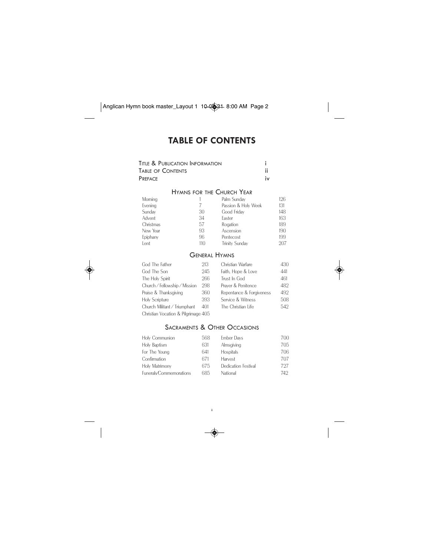# **TABLE OF CONTENTS**

| Title & Publication Information |    |
|---------------------------------|----|
| Table of Contents               |    |
| PREFACE                         | iv |

# HYMNS FOR THE CHURCH YEAR

| Morning   |     | Palm Sunday           | 126 |
|-----------|-----|-----------------------|-----|
| Evening   |     | Passion & Holy Week   | 131 |
| Sunday    | 30  | Good Friday           | 148 |
| Advent    | 34  | Easter                | 163 |
| Christmas | 57  | Rogation              | 189 |
| New Year  | 93  | Ascension             | 190 |
| Epiphany  | 96  | Pentecost             | 199 |
| Lent      | 110 | <b>Trinity Sunday</b> | 207 |

# GENERAL HYMNS

| God The Father                      | 213 | Christian Warfare        | 430 |
|-------------------------------------|-----|--------------------------|-----|
| God The Son                         | 245 | Faith, Hope & Love       | 441 |
| The Holy Spirit                     | 266 | Trust In God             | 461 |
| Church / Fellowship / Mission       | 298 | Prayer & Penitence       | 482 |
| Praise & Thanksgiving               | 360 | Repentance & Forgiveness | 492 |
| <b>Holy Scripture</b>               | 393 | Service & Witness        | 508 |
| Church Militant / Triumphant        | 401 | The Christian Life       | 542 |
| Christian Vocation & Pilgrimage 405 |     |                          |     |

# SACRAMENTS & OTHER OCCASIONS

| Holy Communion          | 568 | <b>Ember Days</b>   | 700 |
|-------------------------|-----|---------------------|-----|
| Holy Baptism            | 631 | Almsgiving          | 705 |
| For The Young           | 641 | <b>Hospitals</b>    | 706 |
| Confirmation            | 671 | Harvest             | 707 |
| Holy Matrimony          | 675 | Dedication Festival | 797 |
| Funerals/Commemorations | 685 | National            | 749 |



ii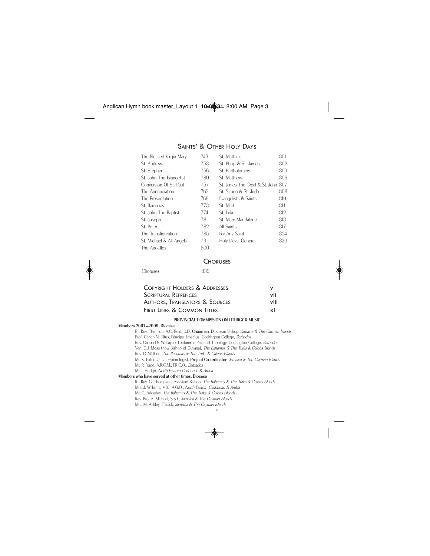# SAINTS' & OTHER HOLY DAYS

| The Blessed Virgin Mary  | 743 | St. Matthias                       | 801 |
|--------------------------|-----|------------------------------------|-----|
| St. Andrew               | 753 | St. Philip & St. James             | 802 |
| St. Stephen              | 756 | St. Bartholomew                    | 803 |
| St. John The Evangelist  | 780 | St. Matthew                        | 806 |
| Conversion Of St. Paul   | 757 | St. James The Great & St. John 807 |     |
| The Annunciation         | 762 | St. Simon & St. Jude               | 808 |
| The Presentation         | 769 | Evangelists & Saints               | 810 |
| St. Barnabas             | 773 | St. Mark                           | 811 |
| St. John The Baptist     | 774 | St. Luke                           | 812 |
| St. Joseph               | 781 | St. Mary Magdalene                 | 813 |
| St. Peter                | 782 | All Saints                         | 817 |
| The Transfiguration      | 785 | For Any Saint                      | 824 |
| St. Michael & All Angels | 791 | Holy Days: General                 | 830 |
| The Apostles             | 800 |                                    |     |

#### **CHORUSES**

Choruses 839

| <b>COPYRIGHT HOLDERS &amp; ADDRESSES</b> | v   |
|------------------------------------------|-----|
| <b>SCRIPTURAL REFRENCES</b>              | vii |
| AUTHORS, TRANSLATORS & SOURCES           |     |
| <b>FIRST LINES &amp; COMMON TITLES</b>   | xi  |

#### PROVINCIAL COMMISSION ON LITURGY & MUSIC

#### Members 2007—2009, Diocese

Rt. Rev. The Hon. A.C. Reid, D.D, Chairman, Diocesan Bishop, Jamaica & The Cayman Islands Prof. Canon N. Titus, Principal Emeritus, Codrington College, Barbados Rev. Canon Dr. W. Layne, Lecturer in Practical Theology, Codrington College, Barbados Ven. C.J. Moss (now Bishop of Guyana), The Bahamas & The Turks & Caicos Islands Rev. C. Walkine, The Bahamas & The Turks & Caicos Islands Mr. K. Fuller, O. D., Hymnologist, Project Co-ordinator, Jamaica & The Cayman Islands Mr. P. Forde, A.R.C.M., F.R.C.O., Barbados Mr. I. Hodge, North Eastern Caribbean & Aruba Members who have served at other times, Diocese Rt. Rev. G. Thompson, Assistant Bishop, The Bahamas & The Turks & Caicos Islands Mrs. J. Williams, MBE, A.G.O., North Eastern Caribbean & Aruba

Mr. C. Adderley, The Bahamas & The Turks & Caicos Islands Rev. Bro. A. Michael, S.S.F., Jamaica & The Cayman Islands Mrs. M. Ashley, T.S.S.F., Jamaica & The Cayman Islands

iii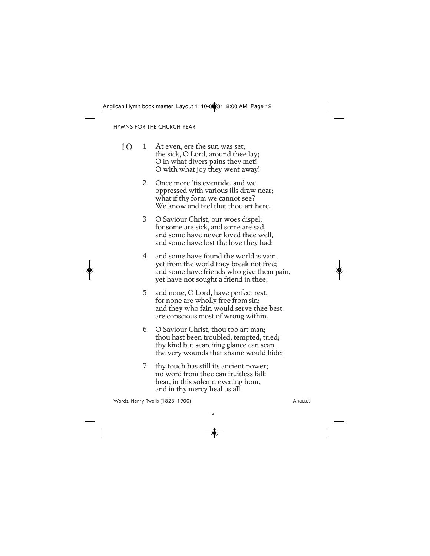HYMNS FOR THE CHURCH YEAR

- 1 At even, ere the sun was set, the sick, O Lord, around thee lay; O in what divers pains they met! O with what joy they went away! 10
	- 2 Once more 'tis eventide, and we oppressed with various ills draw near; what if thy form we cannot see? We know and feel that thou art here.
	- 3 O Saviour Christ, our woes dispel; for some are sick, and some are sad, and some have never loved thee well, and some have lost the love they had;
	- 4 and some have found the world is vain, yet from the world they break not free; and some have friends who give them pain, yet have not sought a friend in thee;
	- 5 and none, O Lord, have perfect rest, for none are wholly free from sin; and they who fain would serve thee best are conscious most of wrong within.
	- 6 O Saviour Christ, thou too art man; thou hast been troubled, tempted, tried; thy kind but searching glance can scan the very wounds that shame would hide;
	- 7 thy touch has still its ancient power; no word from thee can fruitless fall: hear, in this solemn evening hour, and in thy mercy heal us all.

Words: Henry Twells (1823–1900) **ANGELUS**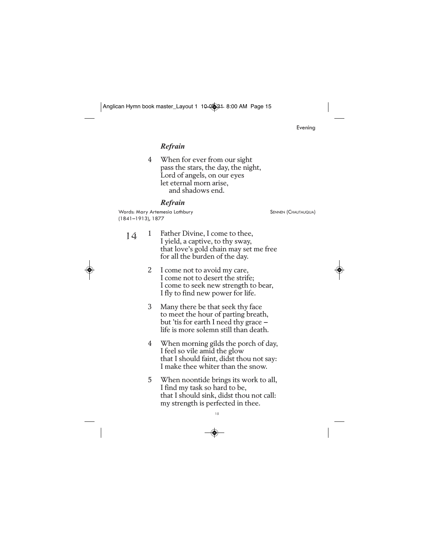Evening

# *Refrain*

4 When for ever from our sight pass the stars, the day, the night, Lord of angels, on our eyes let eternal morn arise, and shadows end.

# *Refrain*

Words: Mary Artemesia Lathbury **SENNEN (CHAUTAUQUA)** (1841–1913), 1877

- 1 Father Divine, I come to thee, I yield, a captive, to thy sway, that love's gold chain may set me free for all the burden of the day. 14
	- 2 I come not to avoid my care, I come not to desert the strife; I come to seek new strength to bear, I fly to find new power for life.
	- 3 Many there be that seek thy face to meet the hour of parting breath, but 'tis for earth I need thy grace life is more solemn still than death.
	- 4 When morning gilds the porch of day, I feel so vile amid the glow that I should faint, didst thou not say: I make thee whiter than the snow.
	- 5 When noontide brings its work to all, I find my task so hard to be, that I should sink, didst thou not call: my strength is perfected in thee.

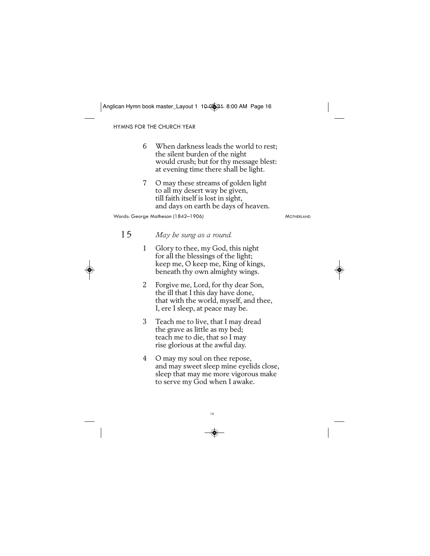HYMNS FOR THE CHURCH YEAR

- 6 When darkness leads the world to rest; the silent burden of the night would crush; but for thy message blest: at evening time there shall be light.
- 7 O may these streams of golden light to all my desert way be given, till faith itself is lost in sight, and days on earth be days of heaven.

Words: George Matheson (1842-1906) MOTHERLAND

- *May be sung as a round.* 15
	- 1 Glory to thee, my God, this night for all the blessings of the light; keep me, O keep me, King of kings, beneath thy own almighty wings.
	- 2 Forgive me, Lord, for thy dear Son, the ill that I this day have done, that with the world, myself, and thee, I, ere I sleep, at peace may be.
	- 3 Teach me to live, that I may dread the grave as little as my bed; teach me to die, that so I may rise glorious at the awful day.
	- 4 O may my soul on thee repose, and may sweet sleep mine eyelids close, sleep that may me more vigorous make to serve my God when I awake.

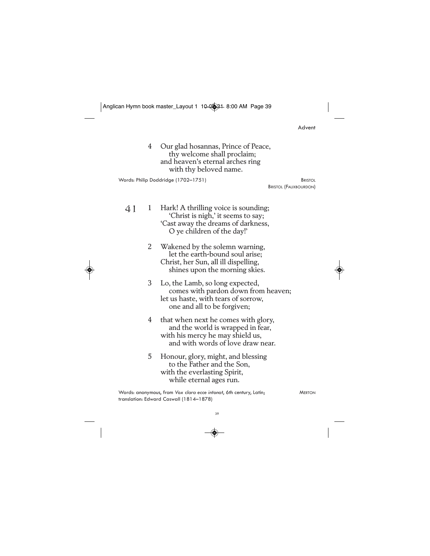$\begin{picture}(120,10) \put(0,0){\line(1,0){10}} \put(15,0){\line(1,0){10}} \put(15,0){\line(1,0){10}} \put(15,0){\line(1,0){10}} \put(15,0){\line(1,0){10}} \put(15,0){\line(1,0){10}} \put(15,0){\line(1,0){10}} \put(15,0){\line(1,0){10}} \put(15,0){\line(1,0){10}} \put(15,0){\line(1,0){10}} \put(15,0){\line(1,0){10}} \put(15,0){\line($ 

|    |   | lican Hymn book master_Layout 1 10-0 <sup>2</sup> 31-8:00 AM Page 39                                                                              |                                                |  |
|----|---|---------------------------------------------------------------------------------------------------------------------------------------------------|------------------------------------------------|--|
|    |   |                                                                                                                                                   | Advent                                         |  |
|    | 4 | Our glad hosannas, Prince of Peace,<br>thy welcome shall proclaim;<br>and heaven's eternal arches ring<br>with thy beloved name.                  |                                                |  |
|    |   | Words: Philip Doddridge (1702-1751)                                                                                                               | <b>BRISTOL</b><br><b>BRISTOL (FAUXBOURDON)</b> |  |
| 41 | 1 | Hark! A thrilling voice is sounding;<br>'Christ is nigh,' it seems to say;<br>'Cast away the dreams of darkness,<br>O ye children of the day!'    |                                                |  |
|    | 2 | Wakened by the solemn warning,<br>let the earth-bound soul arise;<br>Christ, her Sun, all ill dispelling,<br>shines upon the morning skies.       |                                                |  |
|    | 3 | Lo, the Lamb, so long expected,<br>comes with pardon down from heaven;<br>let us haste, with tears of sorrow,<br>one and all to be forgiven;      |                                                |  |
|    | 4 | that when next he comes with glory,<br>and the world is wrapped in fear,<br>with his mercy he may shield us,<br>and with words of love draw near. |                                                |  |
|    | 5 | Honour, glory, might, and blessing<br>to the Father and the Son,<br>with the everlasting Spirit,<br>while eternal ages run.                       |                                                |  |
|    |   | Words: anonymous, from Vox clara ecce intonat, 6th century, Latin;<br>translation: Edward Caswall (1814-1878)                                     | <b>MERTON</b>                                  |  |
|    |   | 39                                                                                                                                                |                                                |  |

 $\begin{picture}(20,5) \put(0,0){\line(1,0){10}} \put(15,0){\line(1,0){10}} \put(15,0){\line(1,0){10}} \put(15,0){\line(1,0){10}} \put(15,0){\line(1,0){10}} \put(15,0){\line(1,0){10}} \put(15,0){\line(1,0){10}} \put(15,0){\line(1,0){10}} \put(15,0){\line(1,0){10}} \put(15,0){\line(1,0){10}} \put(15,0){\line(1,0){10}} \put(15,0){\line(1,$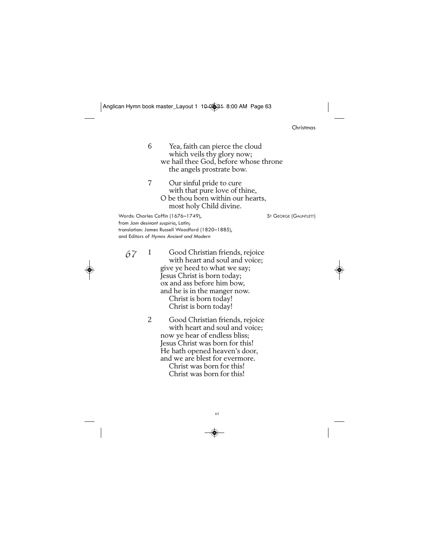### Christmas

6 Yea, faith can pierce the cloud which veils thy glory now; we hail thee God, before whose throne the angels prostrate bow.

7 Our sinful pride to cure with that pure love of thine, O be thou born within our hearts, most holy Child divine.

Words: Charles Coffin (1676–1749), ST GEORGE (GAUNTLETT) from *Jam desinant suspiria*, Latin; translation: James Russell Woodford (1820–1885), and Editors of *Hymns Ancient and Modern*

67

1 Good Christian friends, rejoice with heart and soul and voice; give ye heed to what we say; Jesus Christ is born today; ox and ass before him bow, and he is in the manger now. Christ is born today! Christ is born today!

2 Good Christian friends, rejoice with heart and soul and voice; now ye hear of endless bliss; Jesus Christ was born for this! He hath opened heaven's door, and we are blest for evermore. Christ was born for this! Christ was born for this!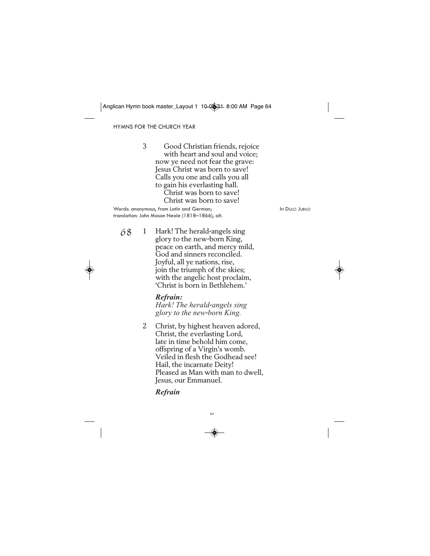HYMNS FOR THE CHURCH YEAR

3 Good Christian friends, rejoice with heart and soul and voice; now ye need not fear the grave: Jesus Christ was born to save! Calls you one and calls you all to gain his everlasting hall. Christ was born to save! Christ was born to save!

Words: anonymous, from Latin and German; In Bullion and Dulci JUBILO translation: John Mason Neale (1818–1866), alt.

1 Hark! The herald-angels sing glory to the new-born King, peace on earth, and mercy mild, God and sinners reconciled. Joyful, all ye nations, rise, join the triumph of the skies; with the angelic host proclaim, 'Christ is born in Bethlehem.' 68

# *Refrain:*

*Hark! The herald*-*angels sing glory to the new*-*born King.*

2 Christ, by highest heaven adored, Christ, the everlasting Lord, late in time behold him come, offspring of a Virgin's womb. Veiled in flesh the Godhead see! Hail, the incarnate Deity! Pleased as Man with man to dwell, Jesus, our Emmanuel.

# *Refrain*

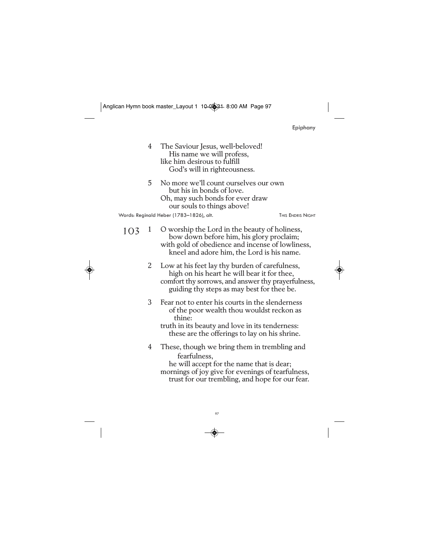| :pipnan |  |  |  |
|---------|--|--|--|
|         |  |  |  |

- 4 The Saviour Jesus, well-beloved! His name we will profess, like him desirous to fulfill God's will in righteousness.
- 5 No more we'll count ourselves our own but his in bonds of love. Oh, may such bonds for ever draw our souls to things above! Words: Reginald Heber (1783-1826), alt. THIS ENDRIS NIGHT

- 1 O worship the Lord in the beauty of holiness, bow down before him, his glory proclaim; with gold of obedience and incense of lowliness, kneel and adore him, the Lord is his name. 103
	- 2 Low at his feet lay thy burden of carefulness, high on his heart he will bear it for thee, comfort thy sorrows, and answer thy prayerfulness, guiding thy steps as may best for thee be.
	- 3 Fear not to enter his courts in the slenderness of the poor wealth thou wouldst reckon as thine:
		- truth in its beauty and love in its tenderness: these are the offerings to lay on his shrine.
	- 4 These, though we bring them in trembling and fearfulness, he will accept for the name that is dear; mornings of joy give for evenings of tearfulness,
		- trust for our trembling, and hope for our fear.

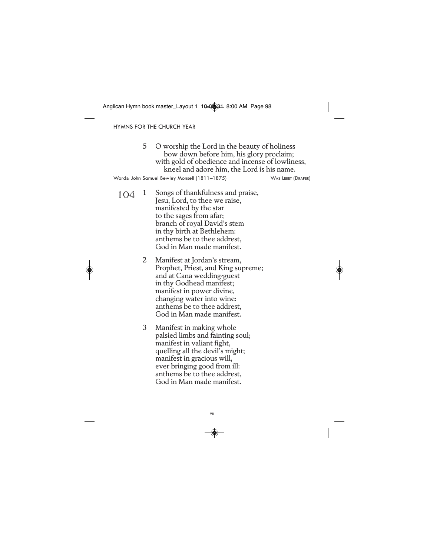HYMNS FOR THE CHURCH YEAR

|     | 5 | O worship the Lord in the beauty of holiness<br>bow down before him, his glory proclaim;<br>with gold of obedience and incense of lowliness,<br>kneel and adore him, the Lord is his name.                                                        |  |
|-----|---|---------------------------------------------------------------------------------------------------------------------------------------------------------------------------------------------------------------------------------------------------|--|
|     |   | Words: John Samuel Bewley Monsell (1811–1875)<br><b>WAS LEBET (DRAPER)</b>                                                                                                                                                                        |  |
| 104 | 1 | Songs of thankfulness and praise,<br>Jesu, Lord, to thee we raise,<br>manifested by the star<br>to the sages from afar;<br>branch of royal David's stem<br>in thy birth at Bethlehem:<br>anthems be to thee addrest,<br>God in Man made manifest. |  |
|     | 2 | Manifest at Jordan's stream,<br>Prophet, Priest, and King supreme;<br>and at Cana wedding-guest<br>in thy Godhead manifest;<br>manifest in power divine,<br>changing water into wine:<br>anthems be to thee addrest,<br>God in Man made manifest. |  |

3 Manifest in making whole palsied limbs and fainting soul; manifest in valiant fight, quelling all the devil's might; manifest in gracious will, ever bringing good from ill: anthems be to thee addrest, God in Man made manifest.

98

◈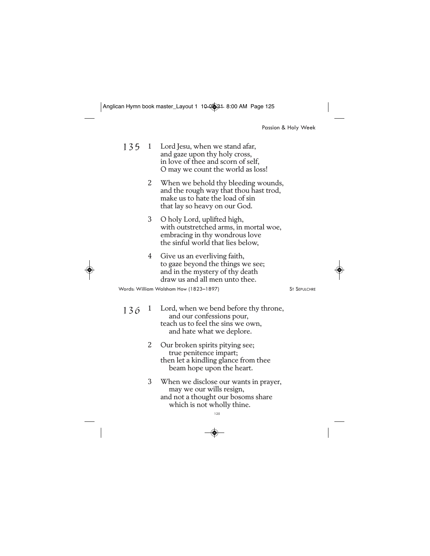Passion & Holy Week

- 1 Lord Jesu, when we stand afar, and gaze upon thy holy cross, in love of thee and scorn of self, O may we count the world as loss! 135
	- 2 When we behold thy bleeding wounds, and the rough way that thou hast trod, make us to hate the load of sin that lay so heavy on our God.
	- 3 O holy Lord, uplifted high, with outstretched arms, in mortal woe, embracing in thy wondrous love the sinful world that lies below,
	- 4 Give us an everliving faith, to gaze beyond the things we see; and in the mystery of thy death draw us and all men unto thee.

Words: William Walsham How (1823-1897) ST SEPULCHRE

- Lord, when we bend before thy throne, and our confessions pour, teach us to feel the sins we own, and hate what we deplore.  $136^{1}$ 
	- 2 Our broken spirits pitying see; true penitence impart; then let a kindling glance from thee beam hope upon the heart.
	- 3 When we disclose our wants in prayer, may we our wills resign, and not a thought our bosoms share which is not wholly thine.

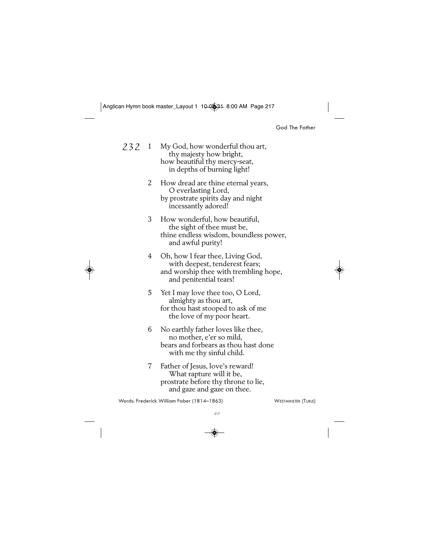God The Father

My God, how wonderful thou art, thy majesty how bright, how beautiful thy mercy-seat, in depths of burning light! 2 How dread are thine eternal years, O everlasting Lord, by prostrate spirits day and night incessantly adored! 3 How wonderful, how beautiful, the sight of thee must be, thine endless wisdom, boundless power, and awful purity! 4 Oh, how I fear thee, Living God, with deepest, tenderest fears; and worship thee with trembling hope, and penitential tears! 5 Yet I may love thee too, O Lord, almighty as thou art, for thou hast stooped to ask of me the love of my poor heart. 6 No earthly father loves like thee, no mother, e'er so mild, bears and forbears as thou hast done with me thy sinful child. 7 Father of Jesus, love's reward! What rapture will it be, prostrate before thy throne to lie, and gaze and gaze on thee. Words: Frederick William Faber (1814–1863) WESTMINSTER (TURLE) 232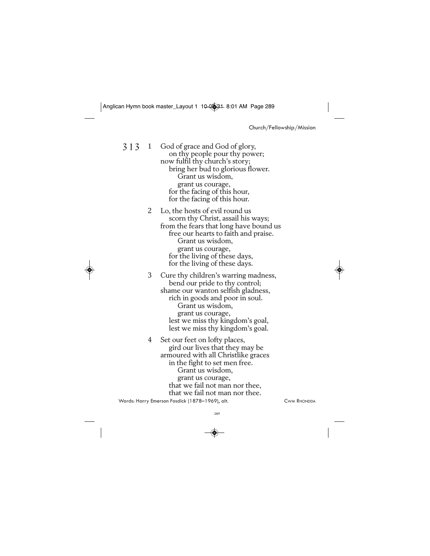Church/Fellowship/Mission

God of grace and God of glory, on thy people pour thy power; now fulfil thy church's story; bring her bud to glorious flower. Grant us wisdom, grant us courage, for the facing of this hour, for the facing of this hour. 313

> 2 Lo, the hosts of evil round us scorn thy Christ, assail his ways; from the fears that long have bound us free our hearts to faith and praise. Grant us wisdom, grant us courage, for the living of these days, for the living of these days.

3 Cure thy children's warring madness, bend our pride to thy control; shame our wanton selfish gladness, rich in goods and poor in soul. Grant us wisdom, grant us courage, lest we miss thy kingdom's goal, lest we miss thy kingdom's goal.

4 Set our feet on lofty places, gird our lives that they may be armoured with all Christlike graces in the fight to set men free. Grant us wisdom, grant us courage, that we fail not man nor thee, that we fail not man nor thee. Words: Harry Emerson Fosdick (1878–1969), alt. CWM CWM RHONDDA

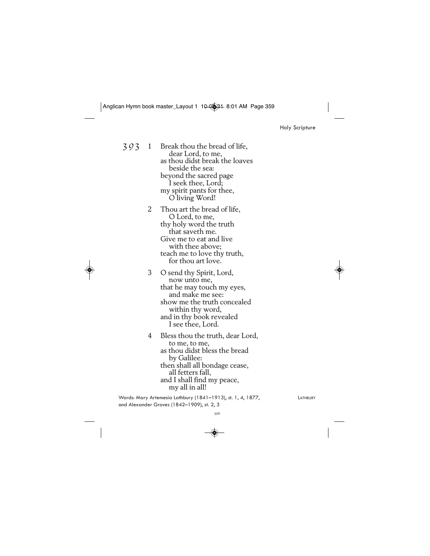Holy Scripture

Break thou the bread of life, dear Lord, to me, as thou didst break the loaves beside the sea: beyond the sacred page I seek thee, Lord; my spirit pants for thee, O living Word! 2 Thou art the bread of life, O Lord, to me, thy holy word the truth that saveth me. Give me to eat and live with thee above; teach me to love thy truth, for thou art love. 393

3 O send thy Spirit, Lord, now unto me, that he may touch my eyes, and make me see: show me the truth concealed within thy word, and in thy book revealed I see thee, Lord.

4 Bless thou the truth, dear Lord, to me, to me, as thou didst bless the bread by Galilee: then shall all bondage cease, all fetters fall, and I shall find my peace, my all in all!

Words: Mary Artemesia Lathbury (1841-1913), st. 1, 4, 1877, LATHBURY and Alexander Groves (1842–1909), st. 2, 3

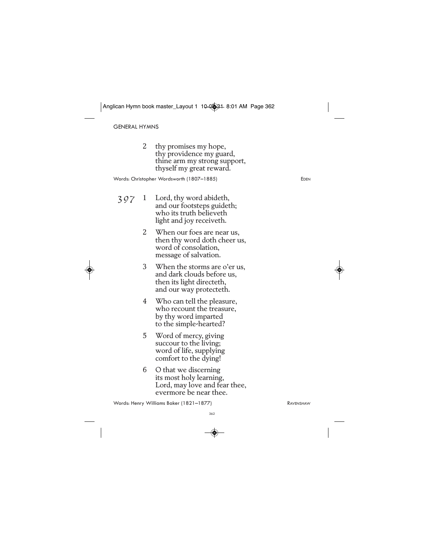GENERAL HYMNS

2 thy promises my hope, thy providence my guard, thine arm my strong support, thyself my great reward.

Words: Christopher Wordsworth (1807–1885) EDEN

- 1 Lord, thy word abideth, and our footsteps guideth; who its truth believeth light and joy receiveth. 397
	- 2 When our foes are near us, then thy word doth cheer us, word of consolation, message of salvation.
	- 3 When the storms are o'er us, and dark clouds before us, then its light directeth, and our way protecteth.
	- 4 Who can tell the pleasure, who recount the treasure, by thy word imparted to the simple-hearted?
	- 5 Word of mercy, giving succour to the living; word of life, supplying comfort to the dying!
	- 6 O that we discerning its most holy learning, Lord, may love and fear thee, evermore be near thee.

Words: Henry Williams Baker (1821–1877) RAVENSHAW

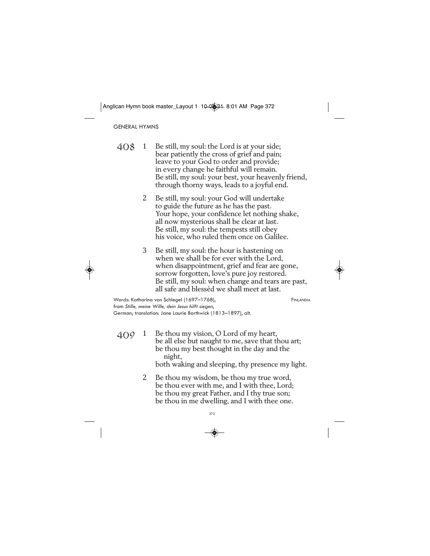GENERAL HYMNS

- 1 Be still, my soul: the Lord is at your side; bear patiently the cross of grief and pain; leave to your God to order and provide; in every change he faithful will remain. Be still, my soul: your best, your heavenly friend, through thorny ways, leads to a joyful end. 408
	- 2 Be still, my soul: your God will undertake to guide the future as he has the past. Your hope, your confidence let nothing shake, all now mysterious shall be clear at last. Be still, my soul: the tempests still obey his voice, who ruled them once on Galilee.
	- 3 Be still, my soul: the hour is hastening on when we shall be for ever with the Lord, when disappointment, grief and fear are gone, sorrow forgotten, love's pure joy restored. Be still, my soul: when change and tears are past, all safe and blessèd we shall meet at last.

Words: Katharina von Schlegel (1697–1768), FINLANDIA from *Stille, meine Wille, dein Jesus hilft siegen*, German; translation: Jane Laurie Borthwick (1813–1897), alt.

Be thou my vision, O Lord of my heart, be all else but naught to me, save that thou art; be thou my best thought in the day and the night,  $409 - 1$ 

both waking and sleeping, thy presence my light.

2 Be thou my wisdom, be thou my true word, be thou ever with me, and I with thee, Lord; be thou my great Father, and I thy true son; be thou in me dwelling, and I with thee one.

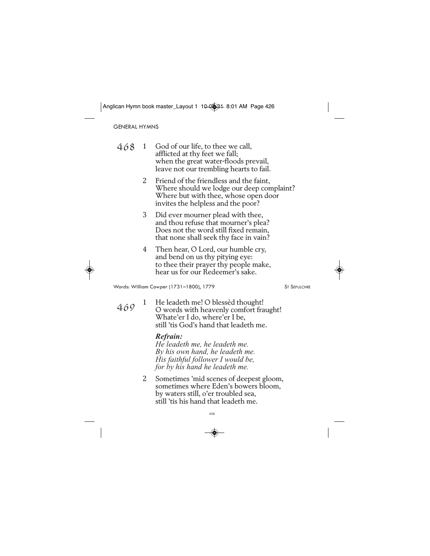GENERAL HYMNS

| 468 | God of our life, to thee we call,       |
|-----|-----------------------------------------|
|     | afflicted at thy feet we fall;          |
|     | when the great water-floods prevail,    |
|     | leave not our trembling hearts to fail. |

- 2 Friend of the friendless and the faint, Where should we lodge our deep complaint? Where but with thee, whose open door invites the helpless and the poor?
- 3 Did ever mourner plead with thee, and thou refuse that mourner's plea? Does not the word still fixed remain, that none shall seek thy face in vain?
- 4 Then hear, O Lord, our humble cry, and bend on us thy pitying eye: to thee their prayer thy people make, hear us for our Redeemer's sake.

Words: William Cowper (1731–1800), 1779 ST SEPULCHRE

469

1 He leadeth me! O blessèd thought! O words with heavenly comfort fraught! Whate'er I do, where'er I be, still 'tis God's hand that leadeth me.

#### *Refrain:*

*He leadeth me, he leadeth me. By his own hand, he leadeth me. His faithful follower I would be, for by his hand he leadeth me.*

2 Sometimes 'mid scenes of deepest gloom, sometimes where Eden's bowers bloom, by waters still, o'er troubled sea, still 'tis his hand that leadeth me.

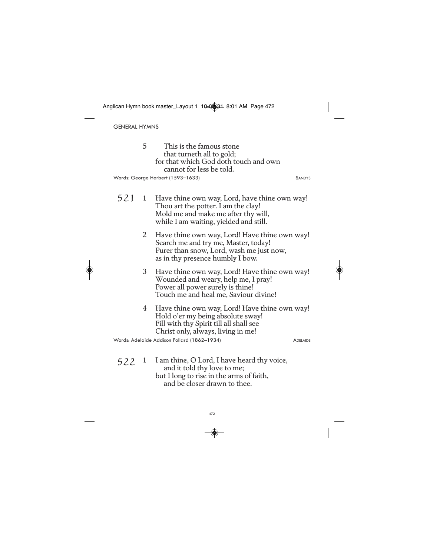GENERAL HYMNS

◈

|     | 5. | This is the famous stone<br>that turneth all to gold;<br>for that which God doth touch and own<br>cannot for less be told.<br>Words: George Herbert (1593-1633)         | <b>SANDYS</b>   |
|-----|----|-------------------------------------------------------------------------------------------------------------------------------------------------------------------------|-----------------|
| 521 |    | 1 Have thine own way, Lord, have thine own way!<br>Thou art the potter. I am the clay!<br>Mold me and make me after thy will,<br>while I am waiting, yielded and still. |                 |
|     | 2  | Have thine own way, Lord! Have thine own way!<br>Search me and try me, Master, today!<br>Purer than snow, Lord, wash me just now,<br>as in thy presence humbly I bow.   |                 |
|     | 3  | Have thine own way, Lord! Have thine own way!<br>Wounded and weary, help me, I pray!<br>Power all power surely is thine!<br>Touch me and heal me, Saviour divine!       |                 |
|     | 4  | Have thine own way, Lord! Have thine own way!<br>Hold o'er my being absolute sway!<br>Fill with thy Spirit till all shall see<br>Christ only, always, living in me!     |                 |
|     |    | Words: Adelaide Addison Pollard (1862-1934)                                                                                                                             | <b>ADELAIDE</b> |
| 522 | 1  | I am thine, O Lord, I have heard thy voice,<br>and it told thy love to me;                                                                                              |                 |

but I long to rise in the arms of faith, and be closer drawn to thee.

472

 $\overline{\bullet}$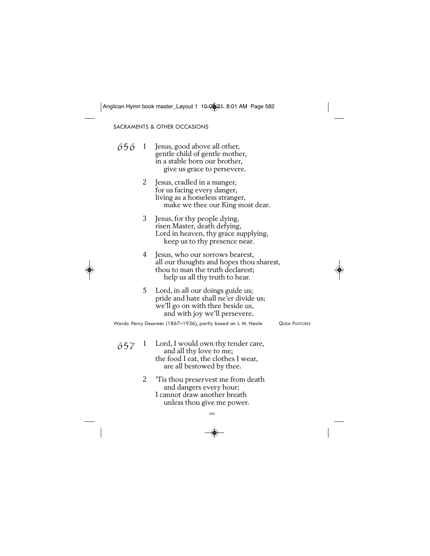SACRAMENTS & OTHER OCCASIONS

| 656 | 1 | Jesus, good above all other,   |
|-----|---|--------------------------------|
|     |   | gentle child of gentle mother, |
|     |   | in a stable born our brother,  |
|     |   | give us grace to persevere.    |

- 2 Jesus, cradled in a manger, for us facing every danger, living as a homeless stranger, make we thee our King most dear.
- 3 Jesus, for thy people dying, risen Master, death defying, Lord in heaven, thy grace supplying, keep us to thy presence near.
- 4 Jesus, who our sorrows bearest, all our thoughts and hopes thou sharest, thou to man the truth declarest; help us all thy truth to hear.
- 5 Lord, in all our doings guide us; pride and hate shall ne'er divide us; we'll go on with thee beside us, and with joy we'll persevere.

Words: Percy Dearmer (1867-1936), partly based on J. M. Neale QUEM PASTORES

- 1 Lord, I would own thy tender care, and all thy love to me; the food I eat, the clothes I wear, are all bestowed by thee. 657
	- 2 'Tis thou preservest me from death and dangers every hour; I cannot draw another breath unless thou give me power.

582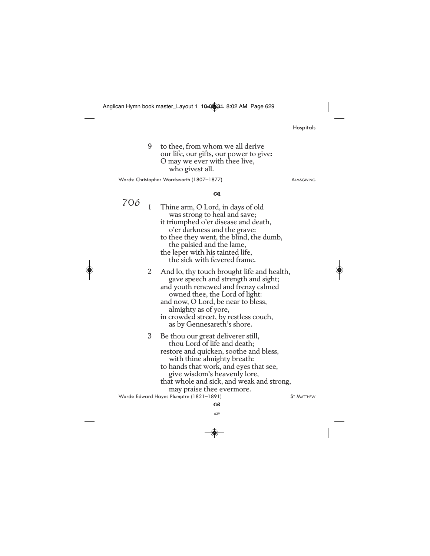|     |              | can Hymn book master_Layout + +0 <del>+0@jd +</del> 8:02 AM Page 629                                                                                                                                                                                                                            |                   |
|-----|--------------|-------------------------------------------------------------------------------------------------------------------------------------------------------------------------------------------------------------------------------------------------------------------------------------------------|-------------------|
|     |              |                                                                                                                                                                                                                                                                                                 | Hospitals         |
|     | 9            | to thee, from whom we all derive<br>our life, our gifts, our power to give:<br>O may we ever with thee live,<br>who givest all.                                                                                                                                                                 |                   |
|     |              | Words: Christopher Wordsworth (1807-1877)                                                                                                                                                                                                                                                       | <b>ALMSGIVING</b> |
|     |              | $\alpha$                                                                                                                                                                                                                                                                                        |                   |
| 706 | $\mathbf{1}$ | Thine arm, O Lord, in days of old<br>was strong to heal and save;<br>it triumphed o'er disease and death,<br>o'er darkness and the grave:<br>to thee they went, the blind, the dumb,<br>the palsied and the lame,<br>the leper with his tainted life,<br>the sick with fevered frame.           |                   |
|     | 2            | And lo, thy touch brought life and health,<br>gave speech and strength and sight;<br>and youth renewed and frenzy calmed<br>owned thee, the Lord of light:<br>and now, O Lord, be near to bless,<br>almighty as of yore,<br>in crowded street, by restless couch,<br>as by Gennesareth's shore. |                   |
|     | 3            | Be thou our great deliverer still,<br>thou Lord of life and death;<br>restore and quicken, soothe and bless.                                                                                                                                                                                    |                   |

3 Be thou our great deliverer still, restore and quicken, soothe and bless, with thine almighty breath: to hands that work, and eyes that see, give wisdom's heavenly lore, that whole and sick, and weak and strong, may praise thee evermore.  $\alpha$ Words: Edward Hayes Plumptre (1821–1891) ST MATTHEW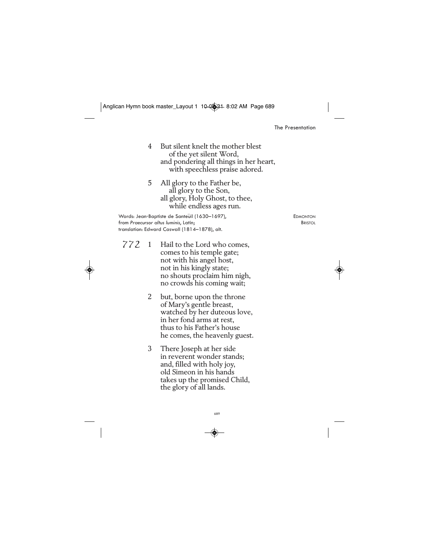The Presentation

4 But silent knelt the mother blest of the yet silent Word, and pondering all things in her heart, with speechless praise adored.

5 All glory to the Father be, all glory to the Son, all glory, Holy Ghost, to thee, while endless ages run.

Words: Jean-Baptiste de Santeüil (1630–1697), EDMONTON<br>From Praecursor altus Iuminis, Latin; Etini from Praecursor altus luminis, Latin; translation: Edward Caswall (1814–1878), alt.

- 772 1 Hail to the Lord who comes, comes to his temple gate; not with his angel host, not in his kingly state; no shouts proclaim him nigh, no crowds his coming wait;
	- 2 but, borne upon the throne of Mary's gentle breast, watched by her duteous love, in her fond arms at rest, thus to his Father's house he comes, the heavenly guest.
	- 3 There Joseph at her side in reverent wonder stands; and, filled with holy joy, old Simeon in his hands takes up the promised Child, the glory of all lands.

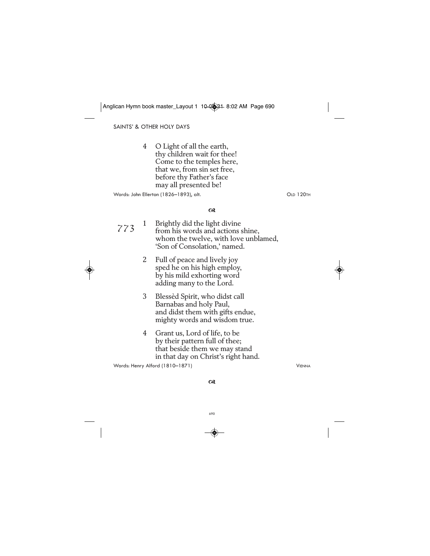SAINTS' & OTHER HOLY DAYS

4 O Light of all the earth, thy children wait for thee! Come to the temples here, that we, from sin set free, before thy Father's face may all presented be!

Words: John Ellerton (1826–1893), alt. CLD 120TH

#### $\alpha$

| 773 | $\mathbf{1}$ | Brightly did the light divine<br>from his words and actions shine,<br>whom the twelve, with love unblamed,<br>'Son of Consolation,' named. |               |
|-----|--------------|--------------------------------------------------------------------------------------------------------------------------------------------|---------------|
|     | 2            | Full of peace and lively joy<br>sped he on his high employ,<br>by his mild exhorting word<br>adding many to the Lord.                      |               |
|     | 3            | Blessèd Spirit, who didst call<br>Barnabas and holy Paul,<br>and didst them with gifts endue,<br>mighty words and wisdom true.             |               |
|     | 4            | Grant us, Lord of life, to be<br>by their pattern full of thee;<br>that beside them we may stand<br>in that day on Christ's right hand.    |               |
|     |              | Words: Henry Alford (1810–1871)                                                                                                            | <b>VIENNA</b> |
|     |              |                                                                                                                                            |               |

 $\alpha$ 

$$
-\bigcircledast
$$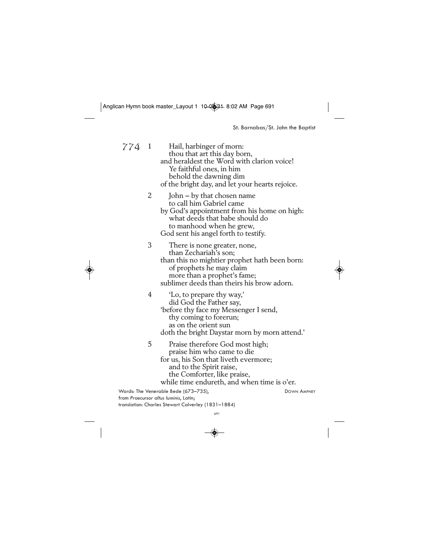St. Barnabas/St. John the Baptist

774

Hail, harbinger of morn: thou that art this day born, and heraldest the Word with clarion voice! Ye faithful ones, in him behold the dawning dim of the bright day, and let your hearts rejoice. 2 John — by that chosen name

to call him Gabriel came by God's appointment from his home on high: what deeds that babe should do to manhood when he grew, God sent his angel forth to testify.

3 There is none greater, none, than Zechariah's son; than this no mightier prophet hath been born: of prophets he may claim more than a prophet's fame; sublimer deeds than theirs his brow adorn.



4 'Lo, to prepare thy way,' did God the Father say, 'before thy face my Messenger I send, thy coming to forerun; as on the orient sun doth the bright Daystar morn by morn attend.'

5 Praise therefore God most high; praise him who came to die for us, his Son that liveth evermore; and to the Spirit raise, the Comforter, like praise, while time endureth, and when time is o'er.

Words: The Venerable Bede (673–735), DOWN AMPNEY from *Praecursor altus luminis*, Latin; translation: Charles Stewart Calverley (1831–1884)

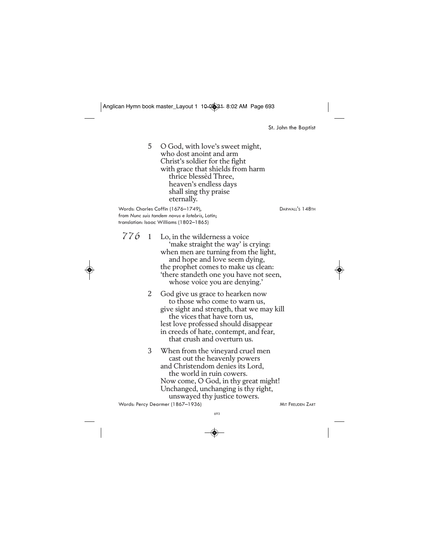St. John the Baptist

5 O God, with love's sweet might, who dost anoint and arm Christ's soldier for the fight with grace that shields from harm thrice blessèd Three, heaven's endless days shall sing thy praise eternally.

Words: Charles Coffin (1676–1749), DARWALL'S 148TH from *Nunc suis tandem novus e latebris*, Latin; translation: Isaac Williams (1802–1865)

 $776$  1 Lo, in the wilderness a voice 'make straight the way' is crying: when men are turning from the light, and hope and love seem dying, the prophet comes to make us clean: 'there standeth one you have not seen, whose voice you are denying.'

> 2 God give us grace to hearken now to those who come to warn us, give sight and strength, that we may kill the vices that have torn us, lest love professed should disappear in creeds of hate, contempt, and fear, that crush and overturn us.

3 When from the vineyard cruel men cast out the heavenly powers and Christendom denies its Lord, the world in ruin cowers. Now come, O God, in thy great might! Unchanged, unchanging is thy right, unswayed thy justice towers. Words: Percy Dearmer (1867–1936) MIT FREUDEN ZART

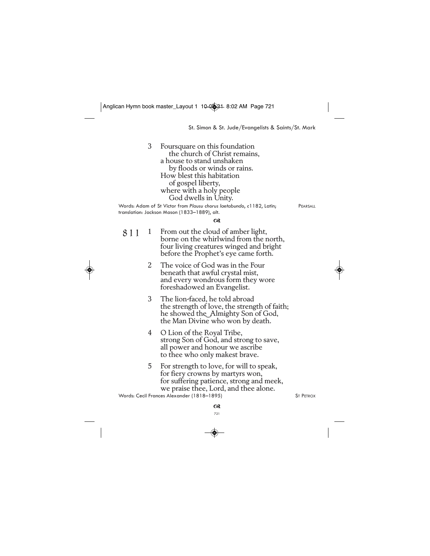St. Simon & St. Jude/Evangelists & Saints/St. Mark

3 Foursquare on this foundation the church of Christ remains, a house to stand unshaken by floods or winds or rains. How blest this habitation of gospel liberty, where with a holy people God dwells in Unity. Words: Adam of St Victor from *Plausu chorus laetabundo*, *c*1182, Latin; PEARSALL translation: Jackson Mason (1833–1889), alt.

 $\alpha$ 

- 1 From out the cloud of amber light, borne on the whirlwind from the north, four living creatures winged and bright before the Prophet's eye came forth. 811
	- 2 The voice of God was in the Four beneath that awful crystal mist, and every wondrous form they wore foreshadowed an Evangelist.
	- 3 The lion-faced, he told abroad the strength of love, the strength of faith; he showed the Almighty Son of God, the Man Divine who won by death.
	- 4 O Lion of the Royal Tribe, strong Son of God, and strong to save, all power and honour we ascribe to thee who only makest brave.
	- 5 For strength to love, for will to speak, for fiery crowns by martyrs won, for suffering patience, strong and meek, we praise thee, Lord, and thee alone.

Words: Cecil Frances Alexander (1818–1895) ST PETROX

721

 $^{63}$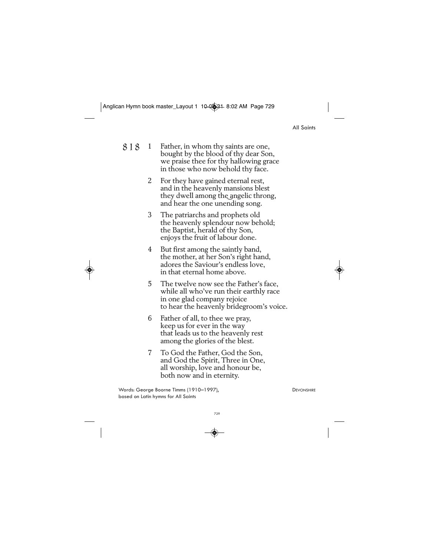| ΑIΙ | <b>S</b> aints |
|-----|----------------|
|-----|----------------|

- 1 Father, in whom thy saints are one, bought by the blood of thy dear Son, we praise thee for thy hallowing grace in those who now behold thy face. 818
	- 2 For they have gained eternal rest, and in the heavenly mansions blest they dwell among the angelic throng, and hear the one unending song.
	- 3 The patriarchs and prophets old the heavenly splendour now behold; the Baptist, herald of thy Son, enjoys the fruit of labour done.
	- 4 But first among the saintly band, the mother, at her Son's right hand, adores the Saviour's endless love, in that eternal home above.
	- 5 The twelve now see the Father's face, while all who've run their earthly race in one glad company rejoice to hear the heavenly bridegroom's voice.
	- 6 Father of all, to thee we pray, keep us for ever in the way that leads us to the heavenly rest among the glories of the blest.
	- 7 To God the Father, God the Son, and God the Spirit, Three in One, all worship, love and honour be, both now and in eternity.

Words: George Boorne Timms (1910–1997), DEVONSHIRE based on Latin hymns for All Saints

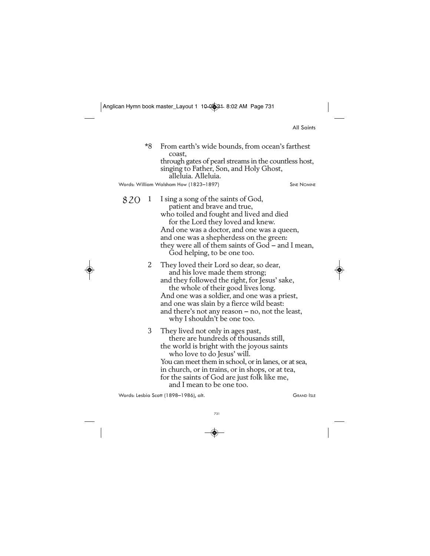|  | All Saints |
|--|------------|
|--|------------|

\*8 From earth's wide bounds, from ocean's farthest coast, through gates of pearl streams in the countless host, singing to Father, Son, and Holy Ghost, alleluia. Alleluia.

Words: William Walsham How (1823-1897) SINE NOMINE

- 8 2 0 1 I sing a song of the saints of God, patient and brave and true, who toiled and fought and lived and died for the Lord they loved and knew. And one was a doctor, and one was a queen, and one was a shepherdess on the green: they were all of them saints of God — and I mean, God helping, to be one too.
	- 2 They loved their Lord so dear, so dear, and his love made them strong; and they followed the right, for Jesus' sake, the whole of their good lives long. And one was a soldier, and one was a priest, and one was slain by a fierce wild beast: and there's not any reason — no, not the least, why I shouldn't be one too.

3 They lived not only in ages past, there are hundreds of thousands still, the world is bright with the joyous saints who love to do Jesus' will. You can meet them in school, or in lanes, or at sea, in church, or in trains, or in shops, or at tea, for the saints of God are just folk like me, and I mean to be one too.

Words: Lesbia Scott (1898–1986), alt. CRAND ISLE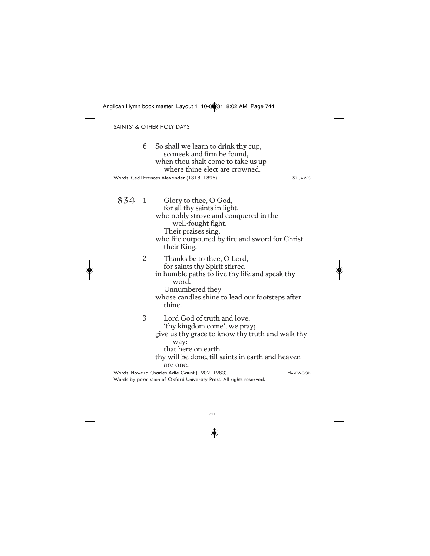6 So shall we learn to drink thy cup, so meek and firm be found, when thou shalt come to take us up where thine elect are crowned. Glory to thee, O God, for all thy saints in light, who nobly strove and conquered in the well-fought fight. Their praises sing, who life outpoured by fire and sword for Christ their King. 2 Thanks be to thee, O Lord, for saints thy Spirit stirred in humble paths to live thy life and speak thy word. Unnumbered they whose candles shine to lead our footsteps after thine. 3 Lord God of truth and love, 'thy kingdom come', we pray; give us thy grace to know thy truth and walk thy way: that here on earth thy will be done, till saints in earth and heaven are one. SAINTS' & OTHER HOLY DAYS Words: Cecil Frances Alexander (1818–1895) ST JAMES 834 Words: Howard Charles Adie Gaunt (1902–1983). HAREWOOD Words by permission of Oxford University Press. All rights reserved. Anglican Hymn book master\_Layout 1 10-0334 8:02 AM Page 744

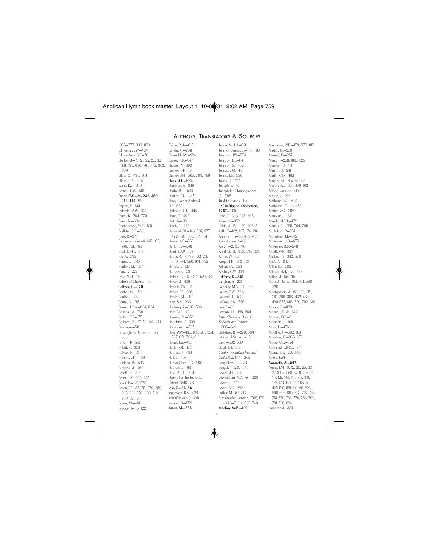#### AUTHORS, TRANSLATORS & SOURCES

Edmeston, J.W.—424 Edmondson, S.E.—701 Ellerton, J.—19, 21, 22, 26, 32, 161, 185, 680, 761, 772, 803, 809 Elliott, C.—430, 504 Elliott, E.E.S.—507 Evans, D.J.—840 Everest, C.W.—509 Faber, F.W.—24, 232, 350, 412, 414, 599 Farjeon, E.—661 Farlander, A.W.—344 Farrell, B.—764, 770 Farrell, N.—604 Featherstone, W.R.—531 Findlater, S.B.—50 Foley, B.—277 Fortunatus, V.—144, 145, 185, 746, 751, 766 Fosdick, H.E.—313 Fox, A.—592 Franck, J.—580 Franklyn, M.—557 Franz, I.—225 Frere, W.H.—116 Fulbert of Chartres—186 Gaither, G.—170 Gaither, W.—170 Garrity, J.—762 Gaunt, A.—215 Gaunt, H.C.A.—634, 834 Gélineau, J.—769 Gellert, C.F.-175 Gerhardt, P.—27, 59, 142, 471 Germanus—58 Gesangbuch, Münster, 1677— 366 Gibson, P.—547 Gillard, R.—304 Gillman, B.—842 Gilmore, J.H.—469 Gladden, W.—536 Glover, J.M.—460 Graeff, F.E.—516 Grant, J.W.—203, 285 Grant, R.—123, 378 Green, F.P. - 35, 75, 279, 289, 385, 391, 570, 683, 712, 730, 821, 831 Green, M.—461 Gregory **I**-115, 122

1985—777, 808, 829

Grève, P. de—815 Grindal, G.—758 Griswold, A.V.-224 Grose, H.B.—647 Groves, A.—393 Gurney, D.F.—681 Gurney, J.H.—505, 709, 799 Haas, D.E.—636 Hamblen, S.—849 Hanby, B.R.—563 Hankey, A.K.—447 Hardy (Father Andrew), H.E.—663 Harkness, G.E.—445 Harris, T.—492 Hart, J.—498 Hatch, E.—266 Havergal, F.R.—146, 297, 377, 472, 528, 530, 539, 541 Hawks, A.S.—552 Hayford, J.—848 Head, E.A.P.—337 Heber, R.—16, 98, 102, 211, 349, 574, 590, 614, 752 Henley, J.—128 Hensley, L.—53 Herbert, G.—370, 371, 520, 688 Hewer, J.—466 Hewett, J.W.—122 Hewitt, E.E.—398 Hewlett, M.—292 Hine, S.K.—236 Ho Lung, R.—303, 586 Hort, F.J.A.—19 Hosmer, F.L.—352 Houghton, F.—306 Housman, L.—787 How, W.W.—135, 189, 261, 354, 537, 651, 784, 819 Howe, J.W.—433 Hoyle, R.B.—183 Hughes, T.—434 Hull, E.—409 Hunter-Clare, T.C.—290 Hupton, J.—168 Hurd, B.—49, 724 Hymns for the Festivals, Oxford, 1846—763 Idle, C.—36, 56 Ingemann, B.S.—428 Irish (8th cent.)—409 Iverson, D.—852 Janus, M.—255

Jevois, W.H.H.—628 John of Damascus—169, 180 Johnson, J.W.—554 Johnson, L.L.—841 Johnson, S.—302 Joncas, J.M.—481 Jones, J.S.—650 Jones, R.—707 Joseph, E.—76 Joseph the Hymnographer (?)—798 Jubilate Hymns—134 "K" in Rippon's Selection, 1787—470 Kaan, F.—308, 335, 605 Kaiser, K.—322 Keble, J.—5, 11, 23, 206, 511 Kelly, T.—162, 167, 174, 196 Kempis, T. à—33, 403, 457 Kempthorne, J.—381 Ken, T.—2, 15, 745 Kendrick, G.—353, 519, 529 Kethe, W.—361 Kingo, T.H.—612, 631 Kirton, F.A.—553 Kitchin, G.W.—134 Lafferty, K.—851 Langton, S.—201 Lathbury, M.A.— 13, 393 Laufer, C.W.—566 Laurentii, L.—50 LeCroy, A.K.—766 Lee, E.—62 Leeson, J.E.—188, 664 Little Children's Book for Schools and Families, c1885—642 Littledale, R.F.—270, 694 Liturgy of St. James, 5th Cent.—602, 609 Lloyd, E.B.—513 London Foundling Hospital Collection, 1774—205 Longfellow, S.—278 Longstaff, W.D.—540 Lowell, J.R.—435 Löwenstern, M.A. von—326 Lowry, R.—177 Lowry, S.C.—262 Luther, M.-57, 213 *Lyra Davidica,* London, 1708, 172<br>Lyte, H.F.—7, 314, 383, 740 MacKay, W.P.—390

ix

MacLagan, W.D.—159, 572, 812 Madan, M.—250 Mansell, D.—257 Mant, R.—208, 800, 825 Marckant, J.—111 Marriott, J.—241 Martin, C.D.—462 Mary of St. Philip, Sr.—47 Mason, A.J.—301, 609, 612 Mason, Jackson—810 Mason, J.—226 Mathams, W.J.—654 Matheson, G.—14, 458 Mattes, J.C.—288 Mauburn, J.—613 Maude, M.F.H.—479 Maurus, R.—285, 794, 795 McAuley, J.P.—334 McFarland, J.T.—642 McKeever, H.B.—655 McKinney, B.B.—248 Merrill, W.P.—437 Midlane, A.—342, 670 Mieir, A.—847 Miller, R.F.—502 Milman, H.H.—126, 487 Milton, J.—55, 715 Monsell, J.S.B.—103, 431, 598, 720 Montgomery, J.—60, 132, 251, 281, 286, 388, 432, 488, 490, 575, 686, 700, 792, 838 Moody, D.—839 Moore, J.E., Jr.—622 Morgan, D.T.—81 Morrison, J.—108 Mote, E., 456 Moultrie, G.—602, 801 Mowbray, D.—365, 679 Mudie, C.E.—524 Muirhead, L.B.C.L.—347 Murray, S.E.—220, 560 Myers, F.W.H.—43 Nazareth, A.—542 Neale, J.M.—6, 12, 20, 25, 33, 37, 39, 48, 58, 67, 83, 96, 112, 117, 127, 144, 145, 168, 169, 176, 178, 180, 181, 265, 403, 425, 510, 581, 610, 611, 623, 690, 695, 699, 703, 727, 728, 751, 759, 766, 779, 786, 790, 791, 798, 824 Neander, J.—384

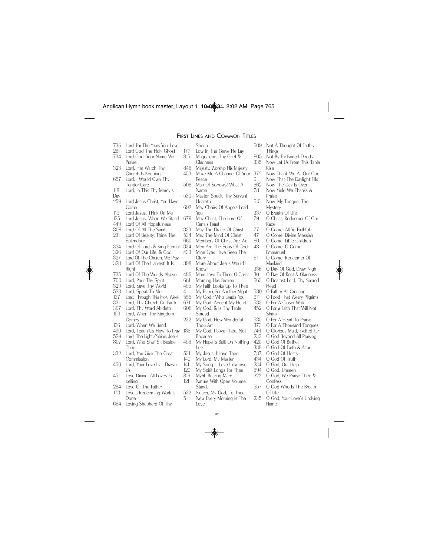# FIRST LINES AND COMMON TITLES

736 Lord, For The Years Your Love 281 Lord God The Holy Ghost<br>734 Lord God Your Name We Lord God, Your Name We Praise 323 Lord, Her Watch Thy Church Is Keeping 657 Lord, I Would Own Thy Tender Care 118 Lord, In This Thy Mercy's Day<br>259 Lord Jesus Christ, You Have Come 119 Lord Jesus, Think On Me<br>135 Lord Jesus, When We Sta 135 Lord Jesus, When We Stand<br>449 Lord Of All Hopefulness 449 Lord Of All Hopefulness<br>808 Lord Of All The Saints 808 Lord Of All The Saints<br>231 Lord Of Beauty, Thine Lord Of Beauty, Thine The Splendour 324 Lord Of Lords & King Eternal<br>326 Lord Of Our Life, & God 326 Lord Of Our Life, & God 327 Lord Of The Church, We Pray<br>328 Lord Of The Harvest! It Is Lord Of The Harvest! It Is Right 735 Lord Of The Worlds Above<br>700 Lord Pour Thy Spirit 700 Lord, Pour Thy Spirit<br>329 Lord, Save Thy Work 329 Lord, Save Thy World Lord, Speak To Me 137 Lord, Through This Holy Week 331 Lord, Thy Church On Earth<br>397 Lord Thy Word Abideth Lord, Thy Word Abideth 159 Lord, When Thy Kingdom Comes 136 Lord, When We Bend<br>490 Lord Teach Us How Lord, Teach Us How To Pray 529 Lord, The Light / Shine, Jesus<br>807 Lord, Who Shall Sit Beside Lord, Who Shall Sit Beside Thee 332 Lord, You Give The Great Commission 450 Lord, Your Love Has Drawn  $\lfloor \cdot \rfloor$ s 451 Love Divine, All Loves Ex celling 284 Love Of The Father 173 Love's Redeeming Work Is Done 664 Loving Shepherd Of Thy

- Sheep 177 Low In The Grave He Lay<br>815 Magdalene Thy Grief & Magdalene, Thy Grief & Gladness 848 Majesty, Worship His Majesty<br>453 Make Me A Channel Of You Make Me A Channel Of Your Peace 506 Man Of Sorrows! What A Name 530 Master, Speak, Thy Servant Heareth 692 May Choirs Of Angels Lead You 679 May Christ, The Lord Of Cana's Feast 333 May The Grace Of Christ 534 May The Mind Of Christ<br>660 Members Of Christ Are \ 660 Members Of Christ Are We<br>334 Men Are The Sons Of God 334 Men Are The Sons Of God<br>433 Mine Eves Have Seen The Mine Eyes Have Seen The Glory 398 More About Jesus Would I Know 486 More Love To Thee, O Christ<br>661 Morning Has Broken 661 Morning Has Broken<br>455 My Faith Looks Up To 4 My Father, For Another Night<br>555 My God / Who Leads You 555 My God / Who Leads You<br>671 My God, Accept My Heart 671 My God, Accept My Heart<br>608 My God & Is Thy Table
- Thou Art
- Less
	-
- 
- 141 My Song Is Love Unknown<br>120 My Spirit Longs For Thee
- 120 My Spirit Longs For Thee<br>816 Myrrh-Bearing Mary
- 816 Myrrh-Bearing Mary<br>121 Nature With Open Nature With Open Volume Stands
- 532 Nearer, My God, To Thee<br>5 New Every Morning Is The
	- xv New Every Morning Is The Love
- 609 Not A Thought Of Earthly **Things** 
	-
- 805 Not By Far-Famed Deeds<br>335 Now Let Us From This Ta Now Let Us From This Table Rise
- 372 Now Thank We All Our God<br>6 Now That The Davlight Fills
- 6 Now That The Daylight Fills<br>662 Now The Day Is Over
- 662 Now The Day Is Over Now Yield We Thanks &
- Praise
- 610 Now, My Tongue, The Mystery
- 337 O Breath Of Life<br>79 O Christ, Redeer
	- 79 O Christ, Redeemer Of Our Race
- 77 O Come, All Ye Faithful<br>47 O Come, Divine Messia
- 47 O Come, Divine Messiah<br>80 O Come, Little Children
- 80 O Come, Little Children<br>48 O Come, O Come, 0 Come, O Come, Emmanuel
- 81 O Come, Redeemer Of Mankind
- 336 O Day Of God, Draw Nigh<br>30 O Day Of Rest & Gladness
- 30 O Day Of Rest & Gladness<br>663 O Dearest Lord Thy Sacred
- 663 O Dearest Lord, Thy Sacred Head
- 
- 680 O Father All Creating<br>611 O Food That Weary P
- 611 O Food That Weary Pilgrims<br>533 O For A Closer Walk 533 O For A Closer Walk<br>452 O For a Faith That W
- 0 For a Faith That Will Not Shrink
- 535 O For A Heart To Praise<br>373 O For A Thousand Tong
- 373 O For A Thousand Tongues<br>746 O Glorious Maid Evalted Far
- 746 O Glorious Maid, Exalted Far
- 233 O God Beyond All Praising<br>420 O God Of Bethel
- 
- 420 O God Of Bethel O God Of Earth & Altar
- 737 O God Of Hosts
- 434 O God Of Truth<br>234 O God Our Heli
- 234 O God, Our Help<br>594 O God Upseen
- 594 O God, Unseen<br>222 O God. We Prais
- O God, We Praise Thee &
- Confess 557 O God Who Is The Breath Of Life
- 235 O God, Your Love's Undying Flame
- My Faith Looks Up To Thee My God, & Is Thy Table
- Because
- 
- Spread 232 My God, How Wonderful
- 
- 
- 
- 138 My God, I Love Thee, Not
- 
- 
- 
- 456 My Hope Is Built On Nothing
	- 531 My Jesus, I Love Thee<br>140 My Lord My Master
	- 140 My Lord, My Master<br>141 My Song Is Love Un